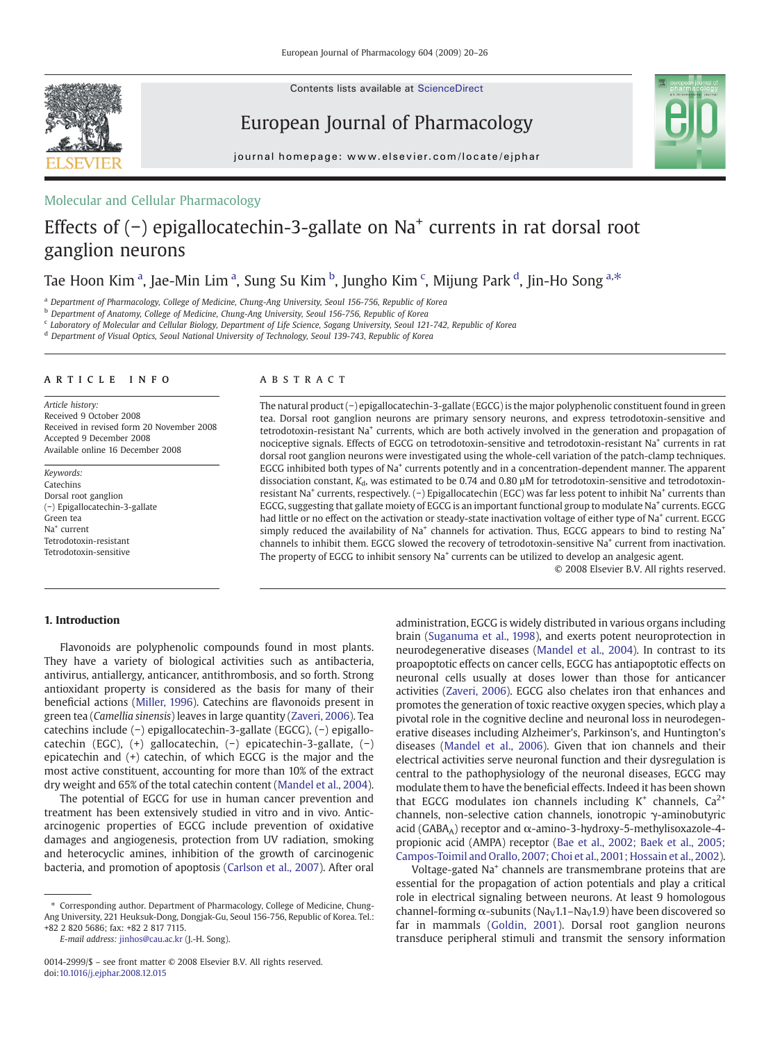Contents lists available at ScienceDirect



European Journal of Pharmacology



journal homepage: www.elsevier.com/locate/ejphar

### Molecular and Cellular Pharmacology

# Effects of (−) epigallocatechin-3-gallate on Na<sup>+</sup> currents in rat dorsal root ganglion neurons

## Tae Hoon Kim <sup>a</sup>, Jae-Min Lim <sup>a</sup>, Sung Su Kim <sup>b</sup>, Jungho Kim <sup>c</sup>, Mijung Park <sup>d</sup>, Jin-Ho Song <sup>a,\*</sup>

<sup>a</sup> Department of Pharmacology, College of Medicine, Chung-Ang University, Seoul 156-756, Republic of Korea

<sup>b</sup> Department of Anatomy, College of Medicine, Chung-Ang University, Seoul 156-756, Republic of Korea

<sup>c</sup> Laboratory of Molecular and Cellular Biology, Department of Life Science, Sogang University, Seoul 121-742, Republic of Korea

<sup>d</sup> Department of Visual Optics, Seoul National University of Technology, Seoul 139-743, Republic of Korea

#### article info abstract

Article history: Received 9 October 2008 Received in revised form 20 November 2008 Accepted 9 December 2008 Available online 16 December 2008

Keywords: Catechins Dorsal root ganglion (−) Epigallocatechin-3-gallate Green tea Na+ current Tetrodotoxin-resistant Tetrodotoxin-sensitive

The natural product (−) epigallocatechin-3-gallate (EGCG) is the major polyphenolic constituent found in green tea. Dorsal root ganglion neurons are primary sensory neurons, and express tetrodotoxin-sensitive and tetrodotoxin-resistant Na<sup>+</sup> currents, which are both actively involved in the generation and propagation of nociceptive signals. Effects of EGCG on tetrodotoxin-sensitive and tetrodotoxin-resistant Na+ currents in rat dorsal root ganglion neurons were investigated using the whole-cell variation of the patch-clamp techniques. EGCG inhibited both types of Na+ currents potently and in a concentration-dependent manner. The apparent dissociation constant,  $K_d$ , was estimated to be 0.74 and 0.80  $\mu$ M for tetrodotoxin-sensitive and tetrodotoxinresistant Na<sup>+</sup> currents, respectively. (−) Epigallocatechin (EGC) was far less potent to inhibit Na<sup>+</sup> currents than EGCG, suggesting that gallate moiety of EGCG is an important functional group to modulate Na<sup>+</sup> currents. EGCG had little or no effect on the activation or steady-state inactivation voltage of either type of Na<sup>+</sup> current. EGCG simply reduced the availability of Na<sup>+</sup> channels for activation. Thus, EGCG appears to bind to resting Na<sup>+</sup> channels to inhibit them. EGCG slowed the recovery of tetrodotoxin-sensitive Na<sup>+</sup> current from inactivation. The property of EGCG to inhibit sensory  $Na<sup>+</sup>$  currents can be utilized to develop an analgesic agent.

© 2008 Elsevier B.V. All rights reserved.

#### 1. Introduction

Flavonoids are polyphenolic compounds found in most plants. They have a variety of biological activities such as antibacteria, antivirus, antiallergy, anticancer, antithrombosis, and so forth. Strong antioxidant property is considered as the basis for many of their beneficial actions [\(Miller, 1996\)](#page-6-0). Catechins are flavonoids present in green tea (Camellia sinensis) leaves in large quantity ([Zaveri, 2006](#page-6-0)). Tea catechins include (−) epigallocatechin-3-gallate (EGCG), (−) epigallocatechin (EGC), (+) gallocatechin, (−) epicatechin-3-gallate, (−) epicatechin and (+) catechin, of which EGCG is the major and the most active constituent, accounting for more than 10% of the extract dry weight and 65% of the total catechin content ([Mandel et al., 2004](#page-6-0)).

The potential of EGCG for use in human cancer prevention and treatment has been extensively studied in vitro and in vivo. Anticarcinogenic properties of EGCG include prevention of oxidative damages and angiogenesis, protection from UV radiation, smoking and heterocyclic amines, inhibition of the growth of carcinogenic bacteria, and promotion of apoptosis [\(Carlson et al., 2007](#page-6-0)). After oral

E-mail address: [jinhos@cau.ac.kr](mailto:jinhos@cau.ac.kr) (J.-H. Song).

administration, EGCG is widely distributed in various organs including brain [\(Suganuma et al., 1998\)](#page-6-0), and exerts potent neuroprotection in neurodegenerative diseases [\(Mandel et al., 2004](#page-6-0)). In contrast to its proapoptotic effects on cancer cells, EGCG has antiapoptotic effects on neuronal cells usually at doses lower than those for anticancer activities [\(Zaveri, 2006\)](#page-6-0). EGCG also chelates iron that enhances and promotes the generation of toxic reactive oxygen species, which play a pivotal role in the cognitive decline and neuronal loss in neurodegenerative diseases including Alzheimer's, Parkinson's, and Huntington's diseases [\(Mandel et al., 2006\)](#page-6-0). Given that ion channels and their electrical activities serve neuronal function and their dysregulation is central to the pathophysiology of the neuronal diseases, EGCG may modulate them to have the beneficial effects. Indeed it has been shown that EGCG modulates ion channels including  $K^+$  channels,  $Ca^{2+}$ channels, non-selective cation channels, ionotropic γ-aminobutyric acid (GABAA) receptor and  $\alpha$ -amino-3-hydroxy-5-methylisoxazole-4propionic acid (AMPA) receptor [\(Bae et al., 2002; Baek et al., 2005;](#page-6-0) [Campos-Toimil and Orallo, 2007; Choi et al., 2001; Hossain et al., 2002](#page-6-0)).

Voltage-gated Na<sup>+</sup> channels are transmembrane proteins that are essential for the propagation of action potentials and play a critical role in electrical signaling between neurons. At least 9 homologous channel-forming  $\alpha$ -subunits (Na<sub>V</sub>1.1–Na<sub>V</sub>1.9) have been discovered so far in mammals [\(Goldin, 2001](#page-6-0)). Dorsal root ganglion neurons transduce peripheral stimuli and transmit the sensory information

<sup>⁎</sup> Corresponding author. Department of Pharmacology, College of Medicine, Chung-Ang University, 221 Heuksuk-Dong, Dongjak-Gu, Seoul 156-756, Republic of Korea. Tel.: +82 2 820 5686; fax: +82 2 817 7115.

<sup>0014-2999/\$</sup> – see front matter © 2008 Elsevier B.V. All rights reserved. doi[:10.1016/j.ejphar.2008.12.015](http://dx.doi.org/10.1016/j.ejphar.2008.12.015)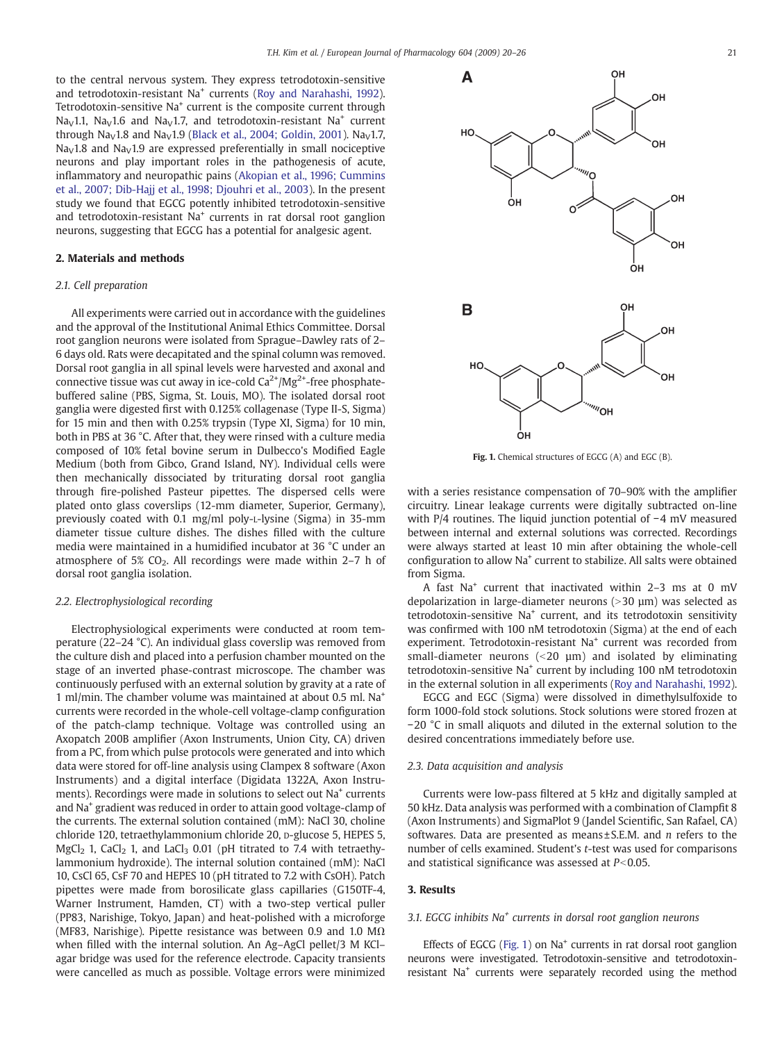to the central nervous system. They express tetrodotoxin-sensitive and tetrodotoxin-resistant Na<sup>+</sup> currents ([Roy and Narahashi, 1992\)](#page-6-0). Tetrodotoxin-sensitive Na<sup>+</sup> current is the composite current through Na<sub>V</sub>1.1, Na<sub>V</sub>1.6 and Na<sub>V</sub>1.7, and tetrodotoxin-resistant Na<sup>+</sup> current through Na<sub>V</sub>1.8 and Na<sub>V</sub>1.9 [\(Black et al., 2004; Goldin, 2001](#page-6-0)). Na<sub>V</sub>1.7,  $Na<sub>V</sub>1.8$  and  $Na<sub>V</sub>1.9$  are expressed preferentially in small nociceptive neurons and play important roles in the pathogenesis of acute, inflammatory and neuropathic pains ([Akopian et al., 1996; Cummins](#page-6-0) [et al., 2007; Dib-Hajj et al., 1998; Djouhri et al., 2003](#page-6-0)). In the present study we found that EGCG potently inhibited tetrodotoxin-sensitive and tetrodotoxin-resistant  $Na<sup>+</sup>$  currents in rat dorsal root ganglion neurons, suggesting that EGCG has a potential for analgesic agent.

#### 2. Materials and methods

#### 2.1. Cell preparation

All experiments were carried out in accordance with the guidelines and the approval of the Institutional Animal Ethics Committee. Dorsal root ganglion neurons were isolated from Sprague–Dawley rats of 2– 6 days old. Rats were decapitated and the spinal column was removed. Dorsal root ganglia in all spinal levels were harvested and axonal and connective tissue was cut away in ice-cold  $Ca^{2+}/Mg^{2+}$ -free phosphatebuffered saline (PBS, Sigma, St. Louis, MO). The isolated dorsal root ganglia were digested first with 0.125% collagenase (Type II-S, Sigma) for 15 min and then with 0.25% trypsin (Type XI, Sigma) for 10 min, both in PBS at 36 °C. After that, they were rinsed with a culture media composed of 10% fetal bovine serum in Dulbecco's Modified Eagle Medium (both from Gibco, Grand Island, NY). Individual cells were then mechanically dissociated by triturating dorsal root ganglia through fire-polished Pasteur pipettes. The dispersed cells were plated onto glass coverslips (12-mm diameter, Superior, Germany), previously coated with 0.1 mg/ml poly-L-lysine (Sigma) in 35-mm diameter tissue culture dishes. The dishes filled with the culture media were maintained in a humidified incubator at 36 °C under an atmosphere of 5%  $CO<sub>2</sub>$ . All recordings were made within 2–7 h of dorsal root ganglia isolation.

#### 2.2. Electrophysiological recording

Electrophysiological experiments were conducted at room temperature (22–24 °C). An individual glass coverslip was removed from the culture dish and placed into a perfusion chamber mounted on the stage of an inverted phase-contrast microscope. The chamber was continuously perfused with an external solution by gravity at a rate of 1 ml/min. The chamber volume was maintained at about 0.5 ml. Na+ currents were recorded in the whole-cell voltage-clamp configuration of the patch-clamp technique. Voltage was controlled using an Axopatch 200B amplifier (Axon Instruments, Union City, CA) driven from a PC, from which pulse protocols were generated and into which data were stored for off-line analysis using Clampex 8 software (Axon Instruments) and a digital interface (Digidata 1322A, Axon Instruments). Recordings were made in solutions to select out Na<sup>+</sup> currents and Na+ gradient was reduced in order to attain good voltage-clamp of the currents. The external solution contained (mM): NaCl 30, choline chloride 120, tetraethylammonium chloride 20, D-glucose 5, HEPES 5,  $MgCl<sub>2</sub>$  1, CaCl<sub>2</sub> 1, and LaCl<sub>3</sub> 0.01 (pH titrated to 7.4 with tetraethylammonium hydroxide). The internal solution contained (mM): NaCl 10, CsCl 65, CsF 70 and HEPES 10 (pH titrated to 7.2 with CsOH). Patch pipettes were made from borosilicate glass capillaries (G150TF-4, Warner Instrument, Hamden, CT) with a two-step vertical puller (PP83, Narishige, Tokyo, Japan) and heat-polished with a microforge (MF83, Narishige). Pipette resistance was between 0.9 and 1.0  $M\Omega$ when filled with the internal solution. An Ag–AgCl pellet/3 M KCl– agar bridge was used for the reference electrode. Capacity transients were cancelled as much as possible. Voltage errors were minimized



Fig. 1. Chemical structures of EGCG (A) and EGC (B).

ÒН

with a series resistance compensation of 70–90% with the amplifier circuitry. Linear leakage currents were digitally subtracted on-line with P/4 routines. The liquid junction potential of −4 mV measured between internal and external solutions was corrected. Recordings were always started at least 10 min after obtaining the whole-cell configuration to allow Na<sup>+</sup> current to stabilize. All salts were obtained from Sigma.

A fast Na+ current that inactivated within 2–3 ms at 0 mV depolarization in large-diameter neurons  $(>30 \mu m)$  was selected as tetrodotoxin-sensitive Na+ current, and its tetrodotoxin sensitivity was confirmed with 100 nM tetrodotoxin (Sigma) at the end of each experiment. Tetrodotoxin-resistant Na<sup>+</sup> current was recorded from small-diameter neurons  $\langle 20 \text{ µm} \rangle$  and isolated by eliminating tetrodotoxin-sensitive Na<sup>+</sup> current by including 100 nM tetrodotoxin in the external solution in all experiments [\(Roy and Narahashi, 1992\)](#page-6-0).

EGCG and EGC (Sigma) were dissolved in dimethylsulfoxide to form 1000-fold stock solutions. Stock solutions were stored frozen at −20 °C in small aliquots and diluted in the external solution to the desired concentrations immediately before use.

#### 2.3. Data acquisition and analysis

Currents were low-pass filtered at 5 kHz and digitally sampled at 50 kHz. Data analysis was performed with a combination of Clampfit 8 (Axon Instruments) and SigmaPlot 9 (Jandel Scientific, San Rafael, CA) softwares. Data are presented as means $\pm$ S.E.M. and *n* refers to the number of cells examined. Student's t-test was used for comparisons and statistical significance was assessed at  $P<0.05$ .

#### 3. Results

#### 3.1. EGCG inhibits  $Na<sup>+</sup>$  currents in dorsal root ganglion neurons

Effects of EGCG (Fig. 1) on Na<sup>+</sup> currents in rat dorsal root ganglion neurons were investigated. Tetrodotoxin-sensitive and tetrodotoxinresistant Na<sup>+</sup> currents were separately recorded using the method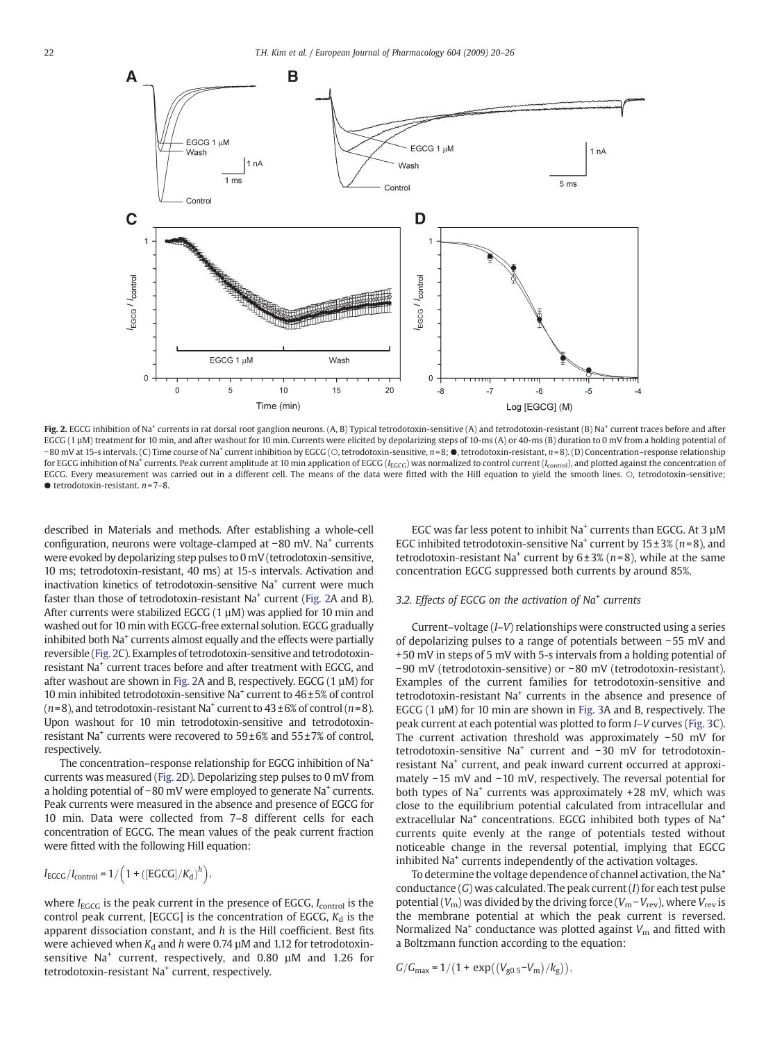<span id="page-2-0"></span>

Fig. 2. EGCG inhibition of Na<sup>+</sup> currents in rat dorsal root ganglion neurons. (A, B) Typical tetrodotoxin-sensitive (A) and tetrodotoxin-resistant (B) Na<sup>+</sup> current traces before and after EGCG (1 µM) treatment for 10 min, and after washout for 10 min. Currents were elicited by depolarizing steps of 10-ms (A) or 40-ms (B) duration to 0 mV from a holding potential of −80 mV at 15-s intervals. (C) Time course of Na+ current inhibition by EGCG (○, tetrodotoxin-sensitive, n= 8; ●, tetrodotoxin-resistant, n= 8). (D) Concentration–response relationship for EGCG inhibition of Na<sup>+</sup> currents. Peak current amplitude at 10 min application of EGCG (I<sub>EGCG</sub>) was normalized to control current (I<sub>control</sub>), and plotted against the concentration of EGCG. Every measurement was carried out in a different cell. The means of the data were fitted with the Hill equation to yield the smooth lines. ○, tetrodotoxin-sensitive;  $\bullet$  tetrodotoxin-resistant.  $n = 7-8$ .

described in Materials and methods. After establishing a whole-cell configuration, neurons were voltage-clamped at −80 mV. Na<sup>+</sup> currents were evoked by depolarizing step pulses to 0 mV (tetrodotoxin-sensitive, 10 ms; tetrodotoxin-resistant, 40 ms) at 15-s intervals. Activation and inactivation kinetics of tetrodotoxin-sensitive Na<sup>+</sup> current were much faster than those of tetrodotoxin-resistant  $Na<sup>+</sup>$  current (Fig. 2A and B). After currents were stabilized EGCG  $(1 \mu M)$  was applied for 10 min and washed out for 10 min with EGCG-free external solution. EGCG gradually inhibited both Na<sup>+</sup> currents almost equally and the effects were partially reversible (Fig. 2C). Examples of tetrodotoxin-sensitive and tetrodotoxinresistant Na<sup>+</sup> current traces before and after treatment with EGCG, and after washout are shown in Fig. 2A and B, respectively. EGCG (1 µM) for 10 min inhibited tetrodotoxin-sensitive Na<sup>+</sup> current to  $46\pm5%$  of control  $(n=8)$ , and tetrodotoxin-resistant Na<sup>+</sup> current to  $43\pm6\%$  of control  $(n=8)$ . Upon washout for 10 min tetrodotoxin-sensitive and tetrodotoxinresistant Na<sup>+</sup> currents were recovered to  $59\pm6%$  and  $55\pm7%$  of control, respectively.

The concentration–response relationship for EGCG inhibition of Na+ currents was measured (Fig. 2D). Depolarizing step pulses to 0 mV from a holding potential of −80 mV were employed to generate Na<sup>+</sup> currents. Peak currents were measured in the absence and presence of EGCG for 10 min. Data were collected from 7–8 different cells for each concentration of EGCG. The mean values of the peak current fraction were fitted with the following Hill equation:

$$
I_{EGCG}/I_{control} = 1/\left(1 + \left(\left[EGCG\right]/K_{d}\right)^{h}\right),
$$

where  $I_{\text{EGCG}}$  is the peak current in the presence of EGCG,  $I_{\text{control}}$  is the control peak current, [EGCG] is the concentration of EGCG,  $K_d$  is the apparent dissociation constant, and  $h$  is the Hill coefficient. Best fits were achieved when  $K_d$  and h were 0.74  $\mu$ M and 1.12 for tetrodotoxinsensitive Na<sup>+</sup> current, respectively, and 0.80 µM and 1.26 for tetrodotoxin-resistant Na<sup>+</sup> current, respectively.

EGC was far less potent to inhibit  $Na<sup>+</sup>$  currents than EGCG. At 3  $\mu$ M EGC inhibited tetrodotoxin-sensitive Na<sup>+</sup> current by  $15 \pm 3\%$  (n=8), and tetrodotoxin-resistant Na<sup>+</sup> current by  $6±3%$  (n=8), while at the same concentration EGCG suppressed both currents by around 85%.

#### 3.2. Effects of EGCG on the activation of  $Na<sup>+</sup>$  currents

Current–voltage (I–V) relationships were constructed using a series of depolarizing pulses to a range of potentials between −55 mV and +50 mV in steps of 5 mV with 5-s intervals from a holding potential of −90 mV (tetrodotoxin-sensitive) or −80 mV (tetrodotoxin-resistant). Examples of the current families for tetrodotoxin-sensitive and tetrodotoxin-resistant Na<sup>+</sup> currents in the absence and presence of EGCG  $(1 \mu M)$  for 10 min are shown in [Fig. 3](#page-3-0)A and B, respectively. The peak current at each potential was plotted to form I–V curves ([Fig. 3](#page-3-0)C). The current activation threshold was approximately −50 mV for tetrodotoxin-sensitive Na<sup>+</sup> current and −30 mV for tetrodotoxinresistant Na<sup>+</sup> current, and peak inward current occurred at approximately −15 mV and −10 mV, respectively. The reversal potential for both types of Na<sup>+</sup> currents was approximately  $+28$  mV, which was close to the equilibrium potential calculated from intracellular and extracellular  $Na<sup>+</sup>$  concentrations. EGCG inhibited both types of  $Na<sup>+</sup>$ currents quite evenly at the range of potentials tested without noticeable change in the reversal potential, implying that EGCG inhibited Na<sup>+</sup> currents independently of the activation voltages.

To determine the voltage dependence of channel activation, the Na<sup>+</sup> conductance  $(G)$  was calculated. The peak current  $(I)$  for each test pulse potential ( $V_{\rm m}$ ) was divided by the driving force ( $V_{\rm m}$  –  $V_{\rm rev}$ ), where  $V_{\rm rev}$  is the membrane potential at which the peak current is reversed. Normalized Na<sup>+</sup> conductance was plotted against  $V<sub>m</sub>$  and fitted with a Boltzmann function according to the equation:

 $G/G_{\text{max}} = 1/(1 + \exp((V_{\text{g0.5}} - V_{\text{m}})/k_{\text{g}})),$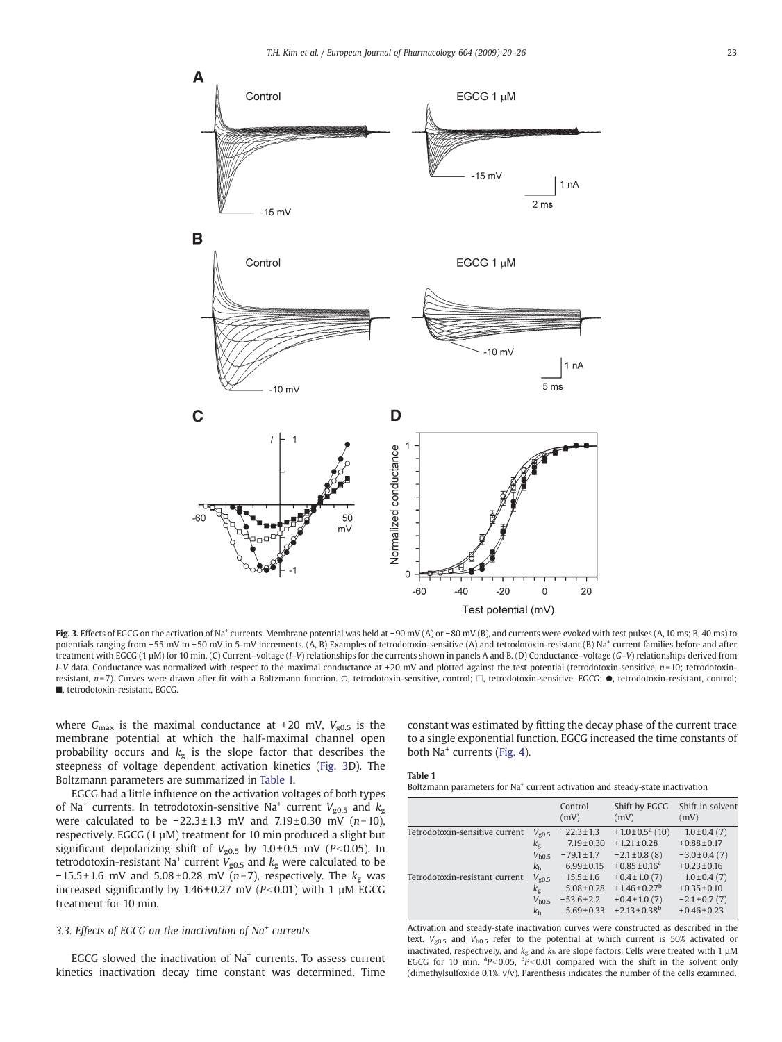<span id="page-3-0"></span>

Fig. 3. Effects of EGCG on the activation of Na<sup>+</sup> currents. Membrane potential was held at −90 mV (A) or −80 mV (B), and currents were evoked with test pulses (A, 10 ms; B, 40 ms) to potentials ranging from −55 mV to +50 mV in 5-mV increments. (A, B) Examples of tetrodotoxin-sensitive (A) and tetrodotoxin-resistant (B) Na<sup>+</sup> current families before and after treatment with EGCG (1 µM) for 10 min. (C) Current–voltage (I–V) relationships for the currents shown in panels A and B. (D) Conductance–voltage (G–V) relationships derived from  $I-V$  data. Conductance was normalized with respect to the maximal conductance at +20 mV and plotted against the test potential (tetrodotoxin-sensitive,  $n=10$ ; tetrodotoxinresistant, n= 7). Curves were drawn after fit with a Boltzmann function. ○, tetrodotoxin-sensitive, control; □, tetrodotoxin-sensitive, EGCG; ●, tetrodotoxin-resistant, control; ■, tetrodotoxin-resistant, EGCG.

where  $G_{\text{max}}$  is the maximal conductance at +20 mV,  $V_{g0.5}$  is the membrane potential at which the half-maximal channel open probability occurs and  $k<sub>g</sub>$  is the slope factor that describes the steepness of voltage dependent activation kinetics (Fig. 3D). The Boltzmann parameters are summarized in Table 1.

EGCG had a little influence on the activation voltages of both types of Na<sup>+</sup> currents. In tetrodotoxin-sensitive Na<sup>+</sup> current  $V_{g0.5}$  and  $k<sub>g</sub>$ were calculated to be  $-22.3 \pm 1.3$  mV and  $7.19 \pm 0.30$  mV (n=10), respectively. EGCG (1 µM) treatment for 10 min produced a slight but significant depolarizing shift of  $V_{g0.5}$  by  $1.0 \pm 0.5$  mV (P<0.05). In tetrodotoxin-resistant Na<sup>+</sup> current  $V_{g0.5}$  and  $k_g$  were calculated to be  $-15.5 \pm 1.6$  mV and  $5.08 \pm 0.28$  mV (n=7), respectively. The  $k<sub>g</sub>$  was increased significantly by  $1.46 \pm 0.27$  mV (P<0.01) with 1 µM EGCG treatment for 10 min.

#### 3.3. Effects of EGCG on the inactivation of  $Na<sup>+</sup>$  currents

EGCG slowed the inactivation of Na<sup>+</sup> currents. To assess current kinetics inactivation decay time constant was determined. Time constant was estimated by fitting the decay phase of the current trace to a single exponential function. EGCG increased the time constants of both Na<sup>+</sup> currents [\(Fig. 4\)](#page-4-0).

#### Table 1

Boltzmann parameters for Na<sup>+</sup> current activation and steady-state inactivation

|                                |                | Control<br>(mV) | Shift by EGCG<br>(mV)         | Shift in solvent<br>(mV) |
|--------------------------------|----------------|-----------------|-------------------------------|--------------------------|
| Tetrodotoxin-sensitive current | $V_{g0.5}$     | $-22.3 \pm 1.3$ | $+1.0\pm0.5^a(10)$            | $-1.0\pm0.4(7)$          |
|                                | $k_{\rm g}$    | $7.19 \pm 0.30$ | $+1.21 \pm 0.28$              | $+0.88 \pm 0.17$         |
|                                | $V_{h0.5}$     | $-79.1 \pm 1.7$ | $-2.1 \pm 0.8$ (8)            | $-3.0 \pm 0.4(7)$        |
|                                | k <sub>h</sub> | $6.99 \pm 0.15$ | $+0.85 \pm 0.16^a$            | $+0.23 \pm 0.16$         |
| Tetrodotoxin-resistant current | $V_{g0.5}$     | $-15.5 \pm 1.6$ | $+0.4 \pm 1.0(7)$             | $-1.0\pm0.4(7)$          |
|                                | $k_{\rm g}$    | $5.08 \pm 0.28$ | $+1.46 \pm 0.27^b$            | $+0.35 \pm 0.10$         |
|                                | $V_{h0.5}$     | $-53.6 \pm 2.2$ | $+0.4 \pm 1.0(7)$             | $-2.1 \pm 0.7(7)$        |
|                                | k <sub>h</sub> | $5.69 \pm 0.33$ | $+2.13 \pm 0.38$ <sup>b</sup> | $+0.46 \pm 0.23$         |
|                                |                |                 |                               |                          |

Activation and steady-state inactivation curves were constructed as described in the text.  $V_{g0.5}$  and  $V_{h0.5}$  refer to the potential at which current is 50% activated or inactivated, respectively, and  $k_{g}$  and  $k_{h}$  are slope factors. Cells were treated with 1  $\mu$ M EGCG for 10 min.  ${}^{a}P<0.05$ ,  ${}^{b}P<0.01$  compared with the shift in the solvent only (dimethylsulfoxide  $0.1\%$ ,  $v/v$ ). Parenthesis indicates the number of the cells examined.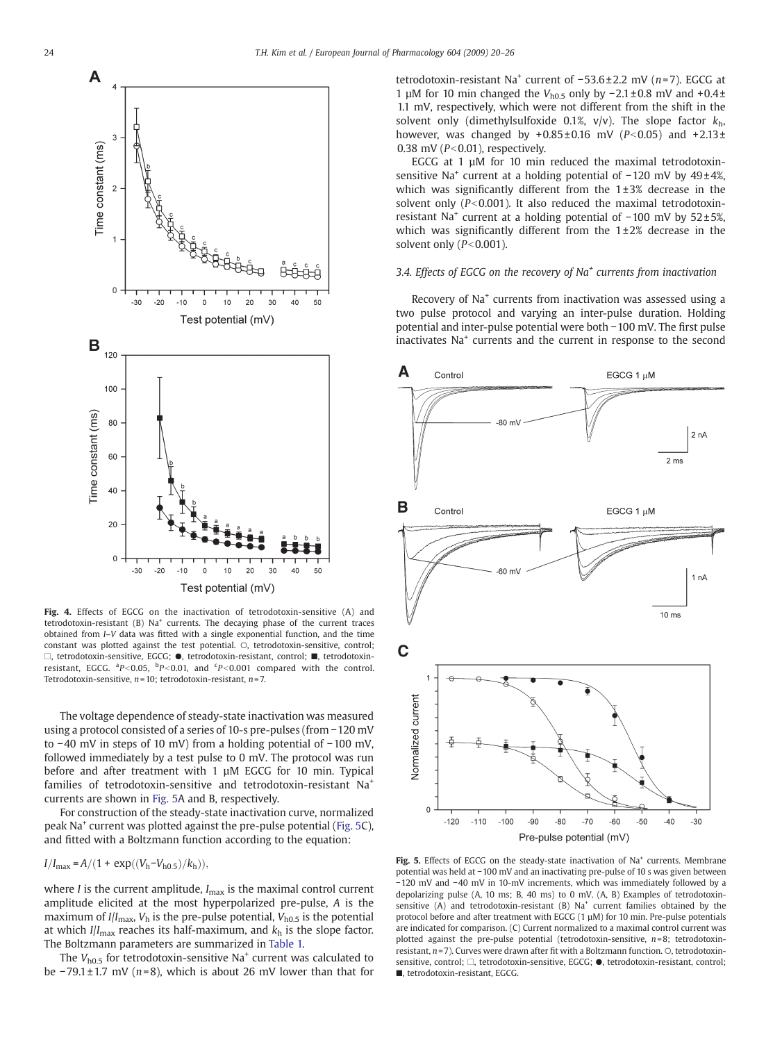<span id="page-4-0"></span>

Fig. 4. Effects of EGCG on the inactivation of tetrodotoxin-sensitive (A) and tetrodotoxin-resistant (B) Na<sup>+</sup> currents. The decaying phase of the current traces obtained from I–V data was fitted with a single exponential function, and the time constant was plotted against the test potential. O, tetrodotoxin-sensitive, control; □, tetrodotoxin-sensitive, EGCG; ●, tetrodotoxin-resistant, control; ■, tetrodotoxinresistant, EGCG.  ${}^{a}P<0.05$ ,  ${}^{b}P<0.01$ , and  ${}^{c}P<0.001$  compared with the control. Tetrodotoxin-sensitive,  $n=10$ ; tetrodotoxin-resistant,  $n=7$ .

The voltage dependence of steady-state inactivation was measured using a protocol consisted of a series of 10-s pre-pulses (from −120 mV to −40 mV in steps of 10 mV) from a holding potential of −100 mV, followed immediately by a test pulse to 0 mV. The protocol was run before and after treatment with 1  $\mu$ M EGCG for 10 min. Typical families of tetrodotoxin-sensitive and tetrodotoxin-resistant Na<sup>+</sup> currents are shown in Fig. 5A and B, respectively.

For construction of the steady-state inactivation curve, normalized peak Na+ current was plotted against the pre-pulse potential (Fig. 5C), and fitted with a Boltzmann function according to the equation:

 $I/I_{\text{max}} = A/(1 + \exp((V_h - V_{h0.5})/k_h))$ 

where *I* is the current amplitude,  $I_{\text{max}}$  is the maximal control current amplitude elicited at the most hyperpolarized pre-pulse, A is the maximum of  $I/I_{\text{max}}$ ,  $V_{\text{h}}$  is the pre-pulse potential,  $V_{\text{h0.5}}$  is the potential at which  $I/I_{\text{max}}$  reaches its half-maximum, and  $k_h$  is the slope factor. The Boltzmann parameters are summarized in [Table 1.](#page-3-0)

The  $V_{h0.5}$  for tetrodotoxin-sensitive Na<sup>+</sup> current was calculated to be −79.1 ± 1.7 mV (n=8), which is about 26 mV lower than that for tetrodotoxin-resistant Na<sup>+</sup> current of  $-53.6 \pm 2.2$  mV (n=7). EGCG at 1 μM for 10 min changed the V<sub>h0.5</sub> only by −2.1 ± 0.8 mV and +0.4 ± 1.1 mV, respectively, which were not different from the shift in the solvent only (dimethylsulfoxide 0.1%,  $v/v$ ). The slope factor  $k_h$ , however, was changed by  $+0.85 \pm 0.16$  mV ( $P<0.05$ ) and  $+2.13 \pm 1.13$ 0.38 mV ( $P<0.01$ ), respectively.

EGCG at 1 µM for 10 min reduced the maximal tetrodotoxinsensitive Na<sup>+</sup> current at a holding potential of -120 mV by 49±4%, which was significantly different from the  $1\pm3\%$  decrease in the solvent only ( $P<0.001$ ). It also reduced the maximal tetrodotoxinresistant Na<sup>+</sup> current at a holding potential of −100 mV by 52±5%, which was significantly different from the  $1\pm2\%$  decrease in the solvent only  $(P<0.001)$ .

#### 3.4. Effects of EGCG on the recovery of  $Na<sup>+</sup>$  currents from inactivation

Recovery of Na<sup>+</sup> currents from inactivation was assessed using a two pulse protocol and varying an inter-pulse duration. Holding potential and inter-pulse potential were both −100 mV. The first pulse inactivates Na<sup>+</sup> currents and the current in response to the second



Fig. 5. Effects of EGCG on the steady-state inactivation of Na<sup>+</sup> currents. Membrane potential was held at −100 mV and an inactivating pre-pulse of 10 s was given between −120 mV and −40 mV in 10-mV increments, which was immediately followed by a depolarizing pulse (A, 10 ms; B, 40 ms) to 0 mV. (A, B) Examples of tetrodotoxinsensitive (A) and tetrodotoxin-resistant (B)  $Na<sup>+</sup>$  current families obtained by the protocol before and after treatment with EGCG (1 µM) for 10 min. Pre-pulse potentials are indicated for comparison. (C) Current normalized to a maximal control current was plotted against the pre-pulse potential (tetrodotoxin-sensitive,  $n=8$ ; tetrodotoxinresistant,  $n=7$ ). Curves were drawn after fit with a Boltzmann function.  $\circ$ , tetrodotoxinsensitive, control; □, tetrodotoxin-sensitive, EGCG; ●, tetrodotoxin-resistant, control; ■, tetrodotoxin-resistant, EGCG.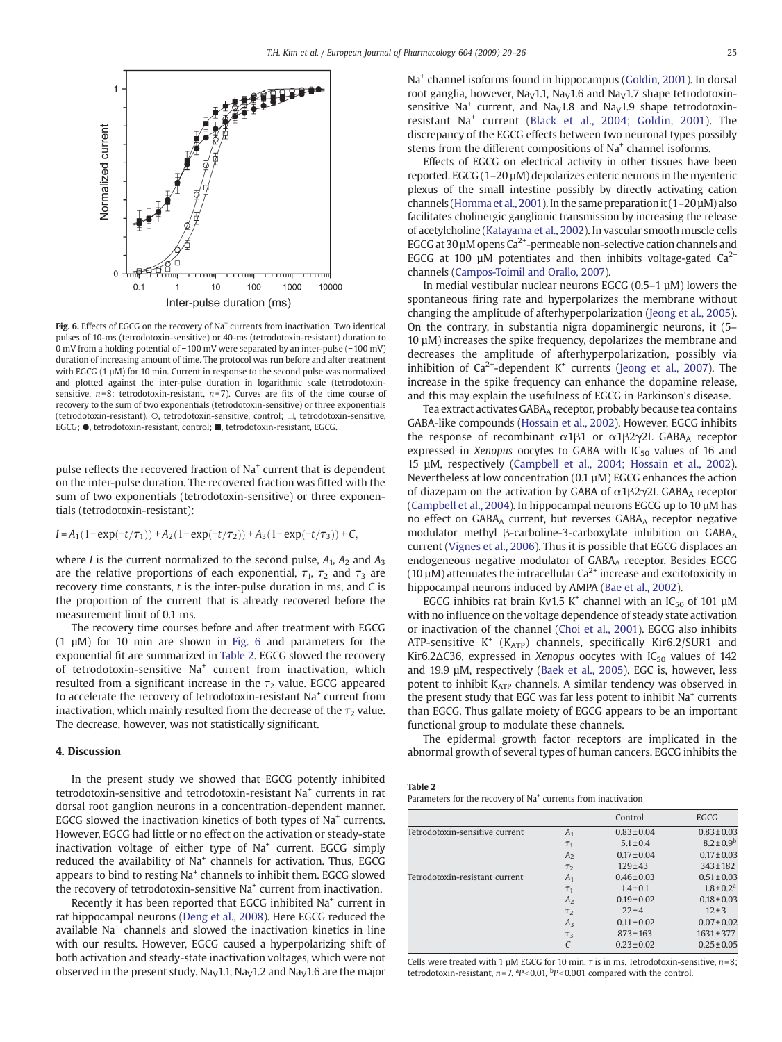

Fig. 6. Effects of EGCG on the recovery of Na<sup>+</sup> currents from inactivation. Two identical pulses of 10-ms (tetrodotoxin-sensitive) or 40-ms (tetrodotoxin-resistant) duration to 0 mV from a holding potential of −100 mV were separated by an inter-pulse (−100 mV) duration of increasing amount of time. The protocol was run before and after treatment with EGCG (1 µM) for 10 min. Current in response to the second pulse was normalized and plotted against the inter-pulse duration in logarithmic scale (tetrodotoxinsensitive,  $n=8$ ; tetrodotoxin-resistant,  $n=7$ ). Curves are fits of the time course of recovery to the sum of two exponentials (tetrodotoxin-sensitive) or three exponentials (tetrodotoxin-resistant). ○, tetrodotoxin-sensitive, control; □, tetrodotoxin-sensitive, EGCG; ●, tetrodotoxin-resistant, control; ■, tetrodotoxin-resistant, EGCG.

pulse reflects the recovered fraction of Na+ current that is dependent on the inter-pulse duration. The recovered fraction was fitted with the sum of two exponentials (tetrodotoxin-sensitive) or three exponentials (tetrodotoxin-resistant):

#### $I = A_1(1-\exp(-t/\tau_1)) + A_2(1-\exp(-t/\tau_2)) + A_3(1-\exp(-t/\tau_3)) + C$

where *I* is the current normalized to the second pulse,  $A_1$ ,  $A_2$  and  $A_3$ are the relative proportions of each exponential,  $\tau_1$ ,  $\tau_2$  and  $\tau_3$  are recovery time constants,  $t$  is the inter-pulse duration in ms, and  $C$  is the proportion of the current that is already recovered before the measurement limit of 0.1 ms.

The recovery time courses before and after treatment with EGCG (1 µM) for 10 min are shown in Fig. 6 and parameters for the exponential fit are summarized in Table 2. EGCG slowed the recovery of tetrodotoxin-sensitive Na<sup>+</sup> current from inactivation, which resulted from a significant increase in the  $\tau_2$  value. EGCG appeared to accelerate the recovery of tetrodotoxin-resistant Na+ current from inactivation, which mainly resulted from the decrease of the  $\tau_2$  value. The decrease, however, was not statistically significant.

#### 4. Discussion

In the present study we showed that EGCG potently inhibited tetrodotoxin-sensitive and tetrodotoxin-resistant Na<sup>+</sup> currents in rat dorsal root ganglion neurons in a concentration-dependent manner. EGCG slowed the inactivation kinetics of both types of Na<sup>+</sup> currents. However, EGCG had little or no effect on the activation or steady-state inactivation voltage of either type of Na<sup>+</sup> current. EGCG simply reduced the availability of Na<sup>+</sup> channels for activation. Thus, EGCG appears to bind to resting Na<sup>+</sup> channels to inhibit them. EGCG slowed the recovery of tetrodotoxin-sensitive Na<sup>+</sup> current from inactivation.

Recently it has been reported that EGCG inhibited Na<sup>+</sup> current in rat hippocampal neurons [\(Deng et al., 2008\)](#page-6-0). Here EGCG reduced the available Na<sup>+</sup> channels and slowed the inactivation kinetics in line with our results. However, EGCG caused a hyperpolarizing shift of both activation and steady-state inactivation voltages, which were not observed in the present study. Na<sub>V</sub>1.1, Na<sub>V</sub>1.2 and Na<sub>V</sub>1.6 are the major Na<sup>+</sup> channel isoforms found in hippocampus ([Goldin, 2001](#page-6-0)). In dorsal root ganglia, however, Na<sub>V</sub>1.1, Na<sub>V</sub>1.6 and Na<sub>V</sub>1.7 shape tetrodotoxinsensitive Na<sup>+</sup> current, and Na<sub>V</sub>1.8 and Na<sub>V</sub>1.9 shape tetrodotoxinresistant Na<sup>+</sup> current ([Black et al., 2004; Goldin, 2001](#page-6-0)). The discrepancy of the EGCG effects between two neuronal types possibly stems from the different compositions of Na<sup>+</sup> channel isoforms.

Effects of EGCG on electrical activity in other tissues have been reported. EGCG (1–20 µM) depolarizes enteric neurons in the myenteric plexus of the small intestine possibly by directly activating cation channels [\(Homma et al., 2001](#page-6-0)). In the same preparation it  $(1-20 \mu M)$  also facilitates cholinergic ganglionic transmission by increasing the release of acetylcholine [\(Katayama et al., 2002\)](#page-6-0). In vascular smooth muscle cells EGCG at 30  $\mu$ M opens Ca<sup>2+</sup>-permeable non-selective cation channels and EGCG at 100 µM potentiates and then inhibits voltage-gated  $Ca^{2+}$ channels ([Campos-Toimil and Orallo, 2007\)](#page-6-0).

In medial vestibular nuclear neurons EGCG (0.5–1 µM) lowers the spontaneous firing rate and hyperpolarizes the membrane without changing the amplitude of afterhyperpolarization ([Jeong et al., 2005\)](#page-6-0). On the contrary, in substantia nigra dopaminergic neurons, it (5– 10 µM) increases the spike frequency, depolarizes the membrane and decreases the amplitude of afterhyperpolarization, possibly via inhibition of  $Ca^{2+}$ -dependent K<sup>+</sup> currents [\(Jeong et al., 2007\)](#page-6-0). The increase in the spike frequency can enhance the dopamine release, and this may explain the usefulness of EGCG in Parkinson's disease.

Tea extract activates GABA<sub>A</sub> receptor, probably because tea contains GABA-like compounds [\(Hossain et al., 2002](#page-6-0)). However, EGCG inhibits the response of recombinant  $α1β1$  or  $α1β2γ2L$  GABA<sub>A</sub> receptor expressed in Xenopus oocytes to GABA with  $IC_{50}$  values of 16 and 15 µM, respectively ([Campbell et al., 2004; Hossain et al., 2002\)](#page-6-0). Nevertheless at low concentration (0.1 µM) EGCG enhances the action of diazepam on the activation by GABA of  $\alpha$ 1 $\beta$ 2 $\gamma$ 2L GABAA receptor [\(Campbell et al., 2004](#page-6-0)). In hippocampal neurons EGCG up to 10 µM has no effect on GABA<sub>A</sub> current, but reverses GABA<sub>A</sub> receptor negative modulator methyl β-carboline-3-carboxylate inhibition on GABA<sub>A</sub> current ([Vignes et al., 2006](#page-6-0)). Thus it is possible that EGCG displaces an endogeneous negative modulator of GABA<sub>A</sub> receptor. Besides EGCG (10  $\mu$ M) attenuates the intracellular Ca<sup>2+</sup> increase and excitotoxicity in hippocampal neurons induced by AMPA ([Bae et al., 2002\)](#page-6-0).

EGCG inhibits rat brain Kv1.5 K<sup>+</sup> channel with an IC<sub>50</sub> of 101  $\mu$ M with no influence on the voltage dependence of steady state activation or inactivation of the channel ([Choi et al., 2001](#page-6-0)). EGCG also inhibits ATP-sensitive  $K^+$  ( $K_{ATP}$ ) channels, specifically Kir6.2/SUR1 and Kir6.2 $\Delta$ C36, expressed in Xenopus oocytes with IC<sub>50</sub> values of 142 and 19.9 µM, respectively [\(Baek et al., 2005\)](#page-6-0). EGC is, however, less potent to inhibit KATP channels. A similar tendency was observed in the present study that EGC was far less potent to inhibit Na<sup>+</sup> currents than EGCG. Thus gallate moiety of EGCG appears to be an important functional group to modulate these channels.

The epidermal growth factor receptors are implicated in the abnormal growth of several types of human cancers. EGCG inhibits the

#### Table 2

Parameters for the recovery of Na<sup>+</sup> currents from inactivation

|                                |                | Control         | EGCG                       |
|--------------------------------|----------------|-----------------|----------------------------|
| Tetrodotoxin-sensitive current | A <sub>1</sub> | $0.83 \pm 0.04$ | $0.83 \pm 0.03$            |
|                                | T <sub>1</sub> | $5.1 \pm 0.4$   | $8.2 \pm 0.9^b$            |
|                                | A <sub>2</sub> | $0.17 \pm 0.04$ | $0.17 \pm 0.03$            |
|                                | T <sub>2</sub> | $129 + 43$      | $343 \pm 182$              |
| Tetrodotoxin-resistant current | A <sub>1</sub> | $0.46 \pm 0.03$ | $0.51 \pm 0.03$            |
|                                | T <sub>1</sub> | $1.4 \pm 0.1$   | $1.8 \pm 0.2$ <sup>a</sup> |
|                                | A <sub>2</sub> | $0.19 \pm 0.02$ | $0.18 \pm 0.03$            |
|                                | T <sub>2</sub> | $22 + 4$        | $12 + 3$                   |
|                                | $A_3$          | $0.11 \pm 0.02$ | $0.07 \pm 0.02$            |
|                                | $T_3$          | $873 \pm 163$   | $1631 \pm 377$             |
|                                |                | $0.23 \pm 0.02$ | $0.25 \pm 0.05$            |

Cells were treated with 1 µM EGCG for 10 min.  $\tau$  is in ms. Tetrodotoxin-sensitive,  $n=8$ ; tetrodotoxin-resistant,  $n = 7$ .  ${}^{a}P < 0.01$ ,  ${}^{b}P < 0.001$  compared with the control.